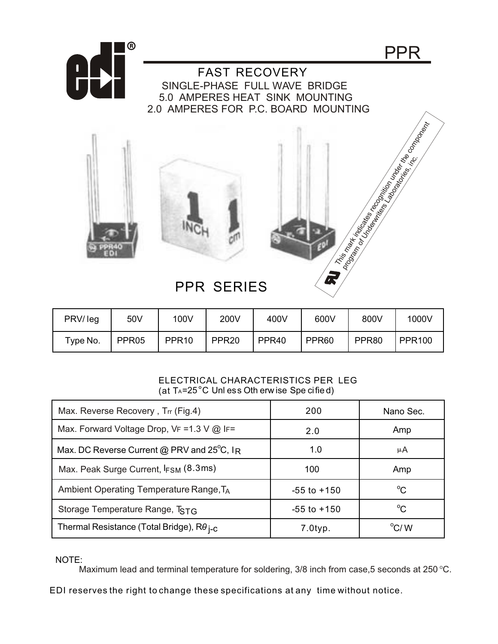

 FAST RECOVERY SINGLE-PHASE FULL WAVE BRIDGE 5.0 AMPERES HEAT SINK MOUNTING 2.0 AMPERES FOR P.C. BOARD MOUNTING





PPR

## PPR SERIES

| PRV/leg  | 50V               | 100V              | 200V              | 400V              | 600V              | 800V  | 1000V         |
|----------|-------------------|-------------------|-------------------|-------------------|-------------------|-------|---------------|
| Type No. | PPR <sub>05</sub> | PPR <sub>10</sub> | PPR <sub>20</sub> | PPR <sub>40</sub> | PPR <sub>60</sub> | PPR80 | <b>PPR100</b> |

## ELECTRICAL CHARACTERISTICS PER LEG (at  $T_A = 25^\circ C$  Unless Oth erw ise Spe cified)

| Max. Reverse Recovery, Trr (Fig.4)                        | 200             | Nano Sec.      |
|-----------------------------------------------------------|-----------------|----------------|
| Max. Forward Voltage Drop, $VF = 1.3$ V $@$ IF=           | 2.0             | Amp            |
| Max. DC Reverse Current @ PRV and 25°C, IR                | 1.0             | μA             |
| Max. Peak Surge Current, IFSM (8.3ms)                     | 100             | Amp            |
| Ambient Operating Temperature Range, TA                   | $-55$ to $+150$ | $^{\circ}C$    |
| Storage Temperature Range, TSTG                           | $-55$ to $+150$ | $^{\circ}C$    |
| Thermal Resistance (Total Bridge), $R\theta_{\text{i-C}}$ | $7.0$ typ.      | $\rm ^{o}$ C/W |

NOTE:

Maximum lead and terminal temperature for soldering, 3/8 inch from case,5 seconds at 250 °C.

EDI reserves the right to change these specifications at any time without notice.